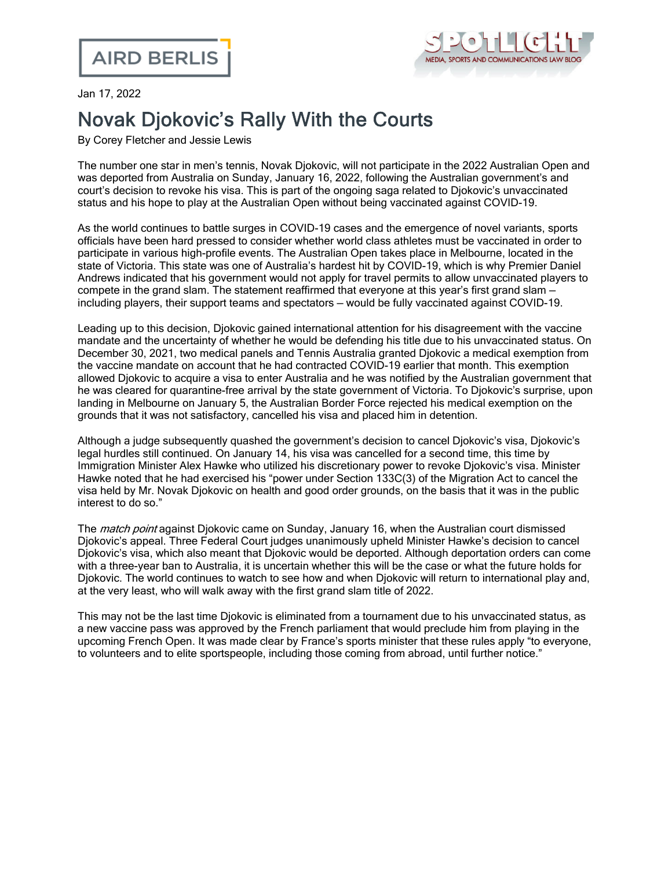

Jan 17, 2022

## Novak Djokovic's Rally With the Courts

By Corey Fletcher and Jessie Lewis

The number one star in men's tennis, Novak Djokovic, will not participate in the 2022 Australian Open and was deported from Australia on Sunday, January 16, 2022, following the Australian government's and court's decision to revoke his visa. This is part of the ongoing saga related to Djokovic's unvaccinated status and his hope to play at the Australian Open without being vaccinated against COVID-19.

As the world continues to battle surges in COVID-19 cases and the emergence of novel variants, sports officials have been hard pressed to consider whether world class athletes must be vaccinated in order to participate in various high-profile events. The Australian Open takes place in Melbourne, located in the state of Victoria. This state was one of Australia's hardest hit by COVID-19, which is why Premier Daniel Andrews indicated that his government would not apply for travel permits to allow unvaccinated players to compete in the grand slam. The statement reaffirmed that everyone at this year's first grand slam including players, their support teams and spectators — would be fully vaccinated against COVID-19.

Leading up to this decision, Djokovic gained international attention for his disagreement with the vaccine mandate and the [uncertainty](https://www.cnn.com/2021/11/29/tennis/novak-djokovic-australian-open-spt-intl/index.html) of whether he would be defending his title due to his unvaccinated status. On December 30, 2021, two medical panels and Tennis Australia granted Djokovic a medical exemption from the vaccine mandate on account that he had contracted COVID-19 earlier that month. This exemption allowed Djokovic to acquire a visa to enter Australia and he was notified by the Australian government that he was cleared for quarantine-free arrival by the state government of Victoria. To Djokovic's surprise, upon landing in Melbourne on January 5, the Australian Border Force rejected his medical exemption on the grounds that it was not satisfactory, cancelled his visa and placed him in detention.

Although a judge subsequently quashed the government's decision to cancel Djokovic's visa, Djokovic's legal hurdles still continued. On January 14, his visa was cancelled for a second time, this time by Immigration Minister Alex Hawke who utilized his discretionary power to revoke Djokovic's visa. Minister Hawke noted that he had exercised his "power under Section 133C(3) of the Migration Act to cancel the visa held by Mr. Novak Djokovic on health and good order grounds, on the basis that it was in the public interest to do so."

The *match point* against Djokovic came on Sunday, January 16, when the Australian court dismissed Djokovic's appeal. Three Federal Court judges unanimously upheld Minister Hawke's decision to cancel Djokovic's visa, which also meant that Djokovic would be deported. Although deportation orders can come with a three-year ban to Australia, it is uncertain whether this will be the case or what the future holds for Djokovic. The world continues to watch to see how and when Djokovic will return to international play and, at the very least, who will walk away with the first grand slam title of 2022.

This may not be the last time Djokovic is eliminated from a tournament due to his unvaccinated status, as a new vaccine pass was approved by the French parliament that would preclude him from playing in the upcoming French Open. It was made clear by France's sports minister that these rules apply "to everyone, to volunteers and to elite sportspeople, including those coming from abroad, until further notice."